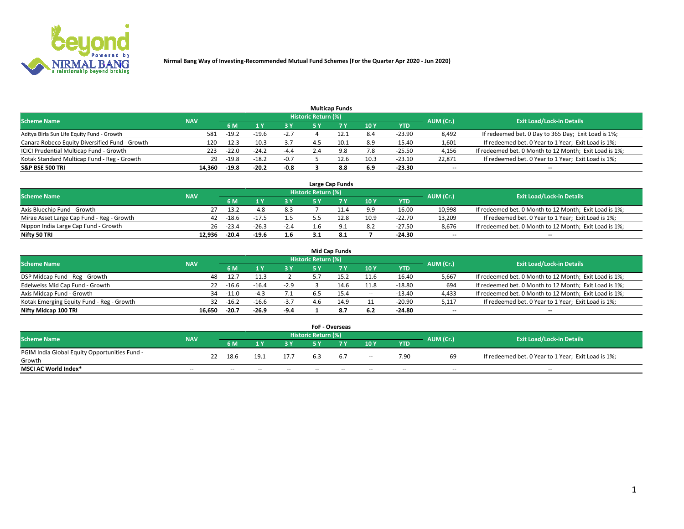

|                                                |            |         |         |        |                     | <b>Multicap Funds</b> |      |            |           |                                                        |
|------------------------------------------------|------------|---------|---------|--------|---------------------|-----------------------|------|------------|-----------|--------------------------------------------------------|
| <b>Scheme Name</b>                             | <b>NAV</b> |         |         |        | Historic Return (%) |                       |      |            | AUM (Cr.) | <b>Exit Load/Lock-in Details</b>                       |
|                                                |            | 6 M     |         | 3 Y    | 5 Y                 |                       | 10Y  | <b>YTD</b> |           |                                                        |
| Aditya Birla Sun Life Equity Fund - Growth     | 581        | $-19.2$ | $-19.6$ | $-2.7$ |                     | 12.1                  | 8.4  | $-23.90$   | 8,492     | If redeemed bet. 0 Day to 365 Day; Exit Load is 1%;    |
| Canara Robeco Equity Diversified Fund - Growth | 120        | $-12.3$ | $-10.3$ | 3.7    | 4.5                 | 10.1                  | 8.9  | $-15.40$   | 1,601     | If redeemed bet. 0 Year to 1 Year; Exit Load is 1%;    |
| ICICI Prudential Multicap Fund - Growth        | 223        | $-22.0$ | $-24.2$ | $-4.4$ | 2.4                 | 9.8                   | 7.8  | $-25.50$   | 4,156     | If redeemed bet. 0 Month to 12 Month; Exit Load is 1%; |
| Kotak Standard Multicap Fund - Reg - Growth    | 29         | $-19.8$ | $-18.2$ | $-0.7$ |                     | 12.6                  | 10.3 | $-23.10$   | 22.871    | If redeemed bet. 0 Year to 1 Year; Exit Load is 1%;    |
| <b>S&amp;P BSE 500 TRI</b>                     | 14.360     | $-19.8$ | $-20.2$ | $-0.8$ |                     | 8.8                   | 6.9  | -23.30     | --        | $\overline{\phantom{a}}$                               |

|                                           |            |         |         |        |                     | Large Cap Funds |      |            |           |                                                        |
|-------------------------------------------|------------|---------|---------|--------|---------------------|-----------------|------|------------|-----------|--------------------------------------------------------|
| <b>Scheme Name</b>                        | <b>NAV</b> |         |         |        | Historic Return (%) |                 |      |            | AUM (Cr.) | <b>Exit Load/Lock-in Details</b>                       |
|                                           |            | 6 M     |         | 3 Y.   | 5 V                 |                 | 10Y  | <b>YTD</b> |           |                                                        |
| Axis Bluechip Fund - Growth               |            | $-13.2$ | -4.8    | 8.3    |                     |                 | 9.9  | $-16.00$   | 10,998    | If redeemed bet. 0 Month to 12 Month; Exit Load is 1%; |
| Mirae Asset Large Cap Fund - Reg - Growth | 42         | $-18.6$ | $-17.5$ |        |                     | 12.8            | 10.9 | $-22.70$   | 13.209    | If redeemed bet. 0 Year to 1 Year; Exit Load is 1%;    |
| Nippon India Large Cap Fund - Growth      | 26         | $-23.4$ | $-26.3$ | $-2.4$ |                     |                 | 8.2  | $-27.50$   | 8.676     | If redeemed bet. 0 Month to 12 Month; Exit Load is 1%; |
| Nifty 50 TRI                              | 12.936     | $-20.4$ | $-19.6$ | 1.6    |                     |                 |      | -24.30     | $- -$     | $\overline{\phantom{a}}$                               |

|                                           |            |         |         |        |                            | <b>Mid Cap Funds</b> |       |            |                          |                                                        |
|-------------------------------------------|------------|---------|---------|--------|----------------------------|----------------------|-------|------------|--------------------------|--------------------------------------------------------|
| <b>Scheme Name</b>                        | <b>NAV</b> |         |         |        | <b>Historic Return (%)</b> |                      |       |            | AUM (Cr.)                | <b>Exit Load/Lock-in Details</b>                       |
|                                           |            | 6 M     |         | 3 Y    | 5 Y                        |                      | 10 Y  | <b>YTD</b> |                          |                                                        |
| DSP Midcap Fund - Reg - Growth            | 48         | $-12.$  | $-11.3$ |        |                            | 15.2                 | 11.6  | $-16.40$   | 5,667                    | If redeemed bet. 0 Month to 12 Month; Exit Load is 1%; |
| Edelweiss Mid Cap Fund - Growth           | 22         | $-16.6$ | $-16.4$ | $-2.9$ |                            | 14.6                 | 11.8  | $-18.80$   | 694                      | If redeemed bet. 0 Month to 12 Month; Exit Load is 1%; |
| Axis Midcap Fund - Growth                 | 34         | $-11.0$ | $-4.3$  | 7.1    |                            | 15.4                 | $\!-$ | $-13.40$   | 4,433                    | If redeemed bet. 0 Month to 12 Month; Exit Load is 1%; |
| Kotak Emerging Equity Fund - Reg - Growth | 32         | $-16.2$ | $-16.6$ | $-3.7$ | 4.6                        | 14.9                 | 11    | $-20.90$   | 5,117                    | If redeemed bet. 0 Year to 1 Year; Exit Load is 1%;    |
| Nifty Midcap 100 TRI                      | 16.650     | -20.7   | $-26.9$ | $-9.4$ |                            | 8.7                  | 6.2   | $-24.80$   | $\overline{\phantom{m}}$ | $- -$                                                  |

|                                               |                          |    |        |       |       |                            | <b>FoF - Overseas</b> |                          |            |                          |                                                     |
|-----------------------------------------------|--------------------------|----|--------|-------|-------|----------------------------|-----------------------|--------------------------|------------|--------------------------|-----------------------------------------------------|
| <b>Scheme Name</b>                            | <b>NAV</b>               |    |        |       |       | <b>Historic Return (%)</b> |                       |                          |            | AUM (Cr.)                | <b>Exit Load/Lock-in Details</b>                    |
|                                               |                          |    | 6 M    |       | 2 V.  | E V                        |                       | 10Y                      | <b>YTD</b> |                          |                                                     |
| PGIM India Global Equity Opportunities Fund - |                          | 22 | 18.6   | 19.1  | 17.7  | 6.3                        | - 6.7                 |                          | 7.90       | 69                       | If redeemed bet. 0 Year to 1 Year; Exit Load is 1%; |
| Growth                                        |                          |    |        |       |       |                            |                       | $\overline{\phantom{a}}$ |            |                          |                                                     |
| <b>MSCI AC World Index*</b>                   | $\overline{\phantom{a}}$ |    | $\sim$ | $- -$ | $- -$ | $\sim$                     | $- -$                 | $\overline{\phantom{a}}$ | $\sim$     | $\overline{\phantom{m}}$ | $\sim$                                              |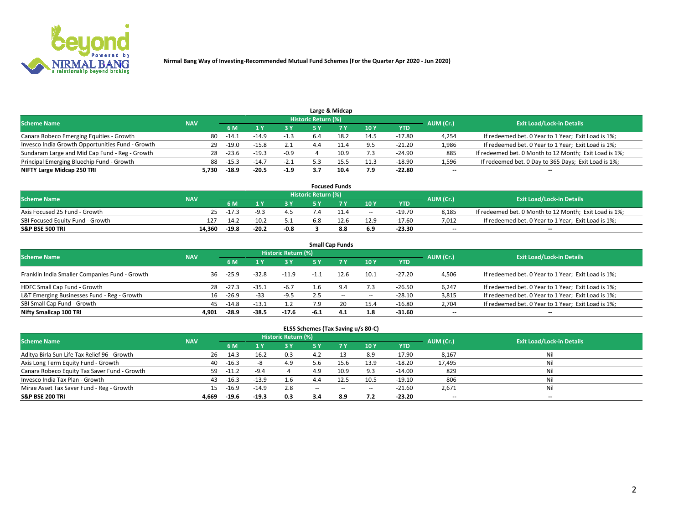

|                                                  |            |         |         |        |                     | Large & Midcap |      |            |           |                                                        |
|--------------------------------------------------|------------|---------|---------|--------|---------------------|----------------|------|------------|-----------|--------------------------------------------------------|
| <b>Scheme Name</b>                               | <b>NAV</b> |         |         |        | Historic Return (%) |                |      |            | AUM (Cr.) | <b>Exit Load/Lock-in Details</b>                       |
|                                                  |            | 6 M     |         | 3 Y    | 5٧                  |                | 10Y  | <b>YTD</b> |           |                                                        |
| Canara Robeco Emerging Equities - Growth         | 80         | $-14.1$ | $-14.9$ | -1.3   | 6.4                 |                | 14.5 | $-17.80$   | 4,254     | If redeemed bet. 0 Year to 1 Year; Exit Load is 1%;    |
| Invesco India Growth Opportunities Fund - Growth | 29         | $-19.0$ | $-15.8$ |        | 4.4                 |                | 9.5  | $-21.20$   | 1,986     | If redeemed bet. 0 Year to 1 Year; Exit Load is 1%;    |
| Sundaram Large and Mid Cap Fund - Reg - Growth   | 28         | $-23.6$ | $-19.3$ | $-0.9$ |                     | 10.9           | 7.3  | $-24.90$   | 885       | If redeemed bet. 0 Month to 12 Month; Exit Load is 1%; |
| Principal Emerging Bluechip Fund - Growth        | 88         | $-15.3$ | $-14.7$ | $-2.1$ |                     |                | 11.3 | $-18.90$   | 1,596     | If redeemed bet. 0 Day to 365 Days; Exit Load is 1%;   |
| NIFTY Large Midcap 250 TRI                       | 5.730      | $-18.9$ | $-20.5$ | $-1.9$ | 3.7                 | 10.4           | 7.9  | $-22.80$   | $- -$     | --                                                     |

|                                  |            |         |         |        |                     | <b>Focused Funds</b> |        |            |           |                                                        |
|----------------------------------|------------|---------|---------|--------|---------------------|----------------------|--------|------------|-----------|--------------------------------------------------------|
| <b>Scheme Name</b>               | <b>NAV</b> |         |         |        | Historic Return (%) |                      |        |            | AUM (Cr.) | <b>Exit Load/Lock-in Details</b>                       |
|                                  |            | 6 M     |         |        |                     |                      | 10Y    | <b>YTD</b> |           |                                                        |
| Axis Focused 25 Fund - Growth    | 25         | $-17.3$ |         | 4.5    |                     |                      | $\sim$ | -19.70     | 8.185     | If redeemed bet. 0 Month to 12 Month; Exit Load is 1%; |
| SBI Focused Equity Fund - Growth | 127        | $-14.2$ | $-10.2$ |        | 6.8                 | 12.b                 | 12.9   | -17.60     | 7.012     | If redeemed bet. 0 Year to 1 Year; Exit Load is 1%;    |
| <b>S&amp;P BSE 500 TRI</b>       | 14.360     | $-19.8$ | $-20.2$ | $-0.8$ |                     | 8.8                  | 6.9    | -23.30     | $- -$     | $\overline{\phantom{a}}$                               |

| <b>Small Cap Funds</b>                         |                                  |         |         |         |        |           |       |            |                          |                                                     |  |  |  |
|------------------------------------------------|----------------------------------|---------|---------|---------|--------|-----------|-------|------------|--------------------------|-----------------------------------------------------|--|--|--|
| <b>Scheme Name</b>                             | <b>Exit Load/Lock-in Details</b> |         |         |         |        |           |       |            |                          |                                                     |  |  |  |
|                                                | <b>NAV</b>                       | 6 M     |         | 3 Y     | 5 Y    | <b>7Y</b> | 10Y   | <b>YTD</b> | AUM (Cr.)                |                                                     |  |  |  |
| Franklin India Smaller Companies Fund - Growth | 36                               | $-25.9$ | $-32.8$ | $-11.9$ | $-1.1$ | 12.6      | 10.1  | $-27.20$   | 4,506                    | If redeemed bet. 0 Year to 1 Year; Exit Load is 1%; |  |  |  |
| HDFC Small Cap Fund - Growth                   | 28                               | $-27.3$ | $-35.1$ | $-6.7$  | 1.6    | 9.4       | 7.3   | $-26.50$   | 6,247                    | If redeemed bet. 0 Year to 1 Year; Exit Load is 1%; |  |  |  |
| L&T Emerging Businesses Fund - Reg - Growth    | 16                               | $-26.9$ | $-33$   | $-9.5$  | 2.5    | $- -$     | $\!-$ | $-28.10$   | 3,815                    | If redeemed bet. 0 Year to 1 Year; Exit Load is 1%; |  |  |  |
| SBI Small Cap Fund - Growth                    | 45                               | $-14.8$ | $-13.1$ |         | 7.9    |           | 15.4  | $-16.80$   | 2,704                    | If redeemed bet. 0 Year to 1 Year; Exit Load is 1%; |  |  |  |
| Nifty Smallcap 100 TRI                         | 4.901                            | $-28.9$ | $-38.5$ | $-17.6$ | $-6.1$ | 4.1       | 1.8   | -31.60     | $\overline{\phantom{a}}$ | --                                                  |  |  |  |

## **ELSS Schemes (Tax Saving u/s 80-C)**

| <b>Scheme Name</b>                           | <b>NAV</b> |         |         | <b>Historic Return (%)</b> |        |       |                          |          | AUM (Cr.) | <b>Exit Load/Lock-in Details</b> |
|----------------------------------------------|------------|---------|---------|----------------------------|--------|-------|--------------------------|----------|-----------|----------------------------------|
|                                              |            | 6 M     |         | <b>3Y</b>                  | 5 Y    |       | 10Y                      | YTD      |           |                                  |
| Aditya Birla Sun Life Tax Relief 96 - Growth | 26         | $-14.3$ | $-16.2$ | 0.3                        |        |       | 8.9                      | $-17.90$ | 8,167     | Nil                              |
| Axis Long Term Equity Fund - Growth          | 40         | $-16.3$ |         | 4.9                        | 5.6    | 15.6  | 13.9                     | $-18.20$ | 17,495    | Nil                              |
| Canara Robeco Equity Tax Saver Fund - Growth | 59         | $-11.2$ | -9.4    |                            | 4.9    | 10.9  | 9.3                      | $-14.00$ | 829       | Nil                              |
| Invesco India Tax Plan - Growth              | 43         | $-16.3$ | $-13.9$ | 1.6                        | 4.4    | 12.5  | 10.5                     | $-19.10$ | 806       | Nil                              |
| Mirae Asset Tax Saver Fund - Reg - Growth    | 15         | $-16.9$ | $-14.9$ | 2.8                        | $\sim$ | $- -$ | $\overline{\phantom{a}}$ | $-21.60$ | 2,671     | Nil                              |
| <b>S&amp;P BSE 200 TRI</b>                   | 4.669      | $-19.6$ | $-19.3$ | 0.3                        | 3.4    | 8.9   | 7.2                      | $-23.20$ | $- -$     | $\overline{\phantom{a}}$         |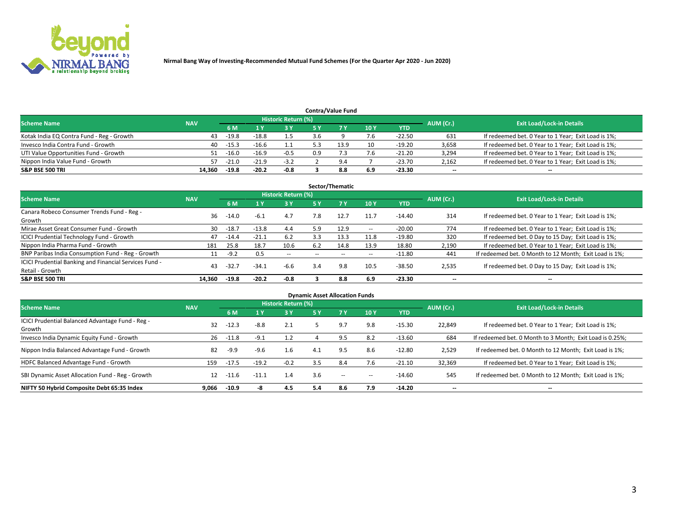

|                                           |            |         |         |                            |     | <b>Contra/Value Fund</b> |     |            |           |                                                     |
|-------------------------------------------|------------|---------|---------|----------------------------|-----|--------------------------|-----|------------|-----------|-----------------------------------------------------|
| <b>Scheme Name</b>                        | <b>NAV</b> |         |         | <b>Historic Return (%)</b> |     |                          |     |            | AUM (Cr.) | <b>Exit Load/Lock-in Details</b>                    |
|                                           |            | 6 M     |         | 3 Y                        |     |                          | 10Y | <b>YTD</b> |           |                                                     |
| Kotak India EQ Contra Fund - Reg - Growth | 43         | $-19.8$ | $-18.8$ | 1.5                        | 3.6 |                          | 7.6 | -22.50     | 631       | If redeemed bet. 0 Year to 1 Year; Exit Load is 1%; |
| Invesco India Contra Fund - Growth        | 40         | -15.3   | $-16.6$ |                            |     | 13.9                     | 10  | $-19.20$   | 3,658     | If redeemed bet. 0 Year to 1 Year; Exit Load is 1%; |
| UTI Value Opportunities Fund - Growth     | 51         | $-16.0$ | $-16.9$ | $-0.5$                     | 0.9 |                          | 7.6 | $-21.20$   | 3,294     | If redeemed bet. 0 Year to 1 Year; Exit Load is 1%; |
| Nippon India Value Fund - Growth          | 57         | $-21.0$ | $-21.9$ | $-3.2$                     |     | Q                        |     | $-23.70$   | 2,162     | If redeemed bet. 0 Year to 1 Year; Exit Load is 1%; |
| <b>S&amp;P BSE 500 TRI</b>                | 14.360     | $-19.8$ | $-20.2$ | -0.8                       |     | 8.8                      | 6.9 | $-23.30$   | $- -$     | --                                                  |

| Sector/Thematic                                                           |            |         |         |                     |                          |                          |                          |          |                          |                                                        |  |  |  |
|---------------------------------------------------------------------------|------------|---------|---------|---------------------|--------------------------|--------------------------|--------------------------|----------|--------------------------|--------------------------------------------------------|--|--|--|
| <b>Scheme Name</b>                                                        | <b>NAV</b> |         |         | Historic Return (%) |                          |                          |                          |          | AUM (Cr.)                | <b>Exit Load/Lock-in Details</b>                       |  |  |  |
|                                                                           |            | 6 M     |         | <b>3Y</b>           | 5 Y                      | 7Y                       | 10Y                      | YTD      |                          |                                                        |  |  |  |
| Canara Robeco Consumer Trends Fund - Reg -<br>Growth                      | 36         | $-14.0$ | $-6.1$  | 4.7                 | 7.8                      | 12.7                     | 11.7                     | $-14.40$ | 314                      | If redeemed bet. 0 Year to 1 Year; Exit Load is 1%;    |  |  |  |
| Mirae Asset Great Consumer Fund - Growth                                  | 30         | $-18.7$ | $-13.8$ | 4.4                 | 5.9                      | 12.9                     | $\hspace{0.05cm} \cdots$ | $-20.00$ | 774                      | If redeemed bet. 0 Year to 1 Year; Exit Load is 1%;    |  |  |  |
| <b>ICICI Prudential Technology Fund - Growth</b>                          | 47         | $-14.4$ | $-21.1$ | 6.2                 | 3.3                      | 13.3                     | 11.8                     | $-19.80$ | 320                      | If redeemed bet. 0 Day to 15 Day; Exit Load is 1%;     |  |  |  |
| Nippon India Pharma Fund - Growth                                         | 181        | 25.8    | 18.7    | 10.6                | 6.2                      | 14.8                     | 13.9                     | 18.80    | 2,190                    | If redeemed bet. 0 Year to 1 Year; Exit Load is 1%;    |  |  |  |
| BNP Paribas India Consumption Fund - Reg - Growth                         | 11         | $-9.2$  | 0.5     | $\sim$ $-$          | $\overline{\phantom{a}}$ | $\overline{\phantom{a}}$ | $\hspace{0.05cm} \cdots$ | $-11.80$ | 441                      | If redeemed bet. 0 Month to 12 Month; Exit Load is 1%; |  |  |  |
| ICICI Prudential Banking and Financial Services Fund -<br>Retail - Growth | 43         | $-32.7$ | $-34.1$ | $-6.6$              | 3.4                      | 9.8                      | 10.5                     | $-38.50$ | 2,535                    | If redeemed bet. 0 Day to 15 Day; Exit Load is 1%;     |  |  |  |
| <b>S&amp;P BSE 500 TRI</b>                                                | 14.360     | $-19.8$ | $-20.2$ | $-0.8$              |                          | 8.8                      | 6.9                      | $-23.30$ | $\overline{\phantom{a}}$ | --                                                     |  |  |  |

| <b>Dynamic Asset Allocation Funds</b>                      |            |         |         |                            |     |           |     |            |           |                                                          |  |  |  |
|------------------------------------------------------------|------------|---------|---------|----------------------------|-----|-----------|-----|------------|-----------|----------------------------------------------------------|--|--|--|
| <b>Scheme Name</b>                                         | <b>NAV</b> |         |         | <b>Historic Return (%)</b> |     |           |     |            | AUM (Cr.) | <b>Exit Load/Lock-in Details</b>                         |  |  |  |
|                                                            |            | 6 M     |         | 3 Y                        | 5 Y | <b>7Y</b> | 10Y | <b>YTD</b> |           |                                                          |  |  |  |
| ICICI Prudential Balanced Advantage Fund - Reg -<br>Growth | 32         | $-12.3$ | $-8.8$  | 2.1                        |     | 9.7       | 9.8 | $-15.30$   | 22,849    | If redeemed bet. 0 Year to 1 Year; Exit Load is 1%;      |  |  |  |
| Invesco India Dynamic Equity Fund - Growth                 | 26         | $-11.8$ | $-9.1$  | 1.2                        |     | 9.5       | 8.2 | $-13.60$   | 684       | If redeemed bet. 0 Month to 3 Month; Exit Load is 0.25%; |  |  |  |
| Nippon India Balanced Advantage Fund - Growth              | 82         | $-9.9$  | -9.6    | 1.6                        | 4.1 | 9.5       | 8.6 | $-12.80$   | 2,529     | If redeemed bet. 0 Month to 12 Month; Exit Load is 1%;   |  |  |  |
| HDFC Balanced Advantage Fund - Growth                      | 159        | $-17.5$ | $-19.2$ | $-0.2$                     | 3.5 | 8.4       | 7.6 | $-21.10$   | 32,369    | If redeemed bet. 0 Year to 1 Year; Exit Load is 1%;      |  |  |  |
| SBI Dynamic Asset Allocation Fund - Reg - Growth           | 12         | $-11.6$ | $-11.1$ | 1.4                        | 3.6 | $- -$     | -   | $-14.60$   | 545       | If redeemed bet. 0 Month to 12 Month; Exit Load is 1%;   |  |  |  |
| NIFTY 50 Hybrid Composite Debt 65:35 Index                 | 9.066      | $-10.9$ | -8      | 4.5                        | 5.4 | 8.6       | 7.9 | $-14.20$   | --        | --                                                       |  |  |  |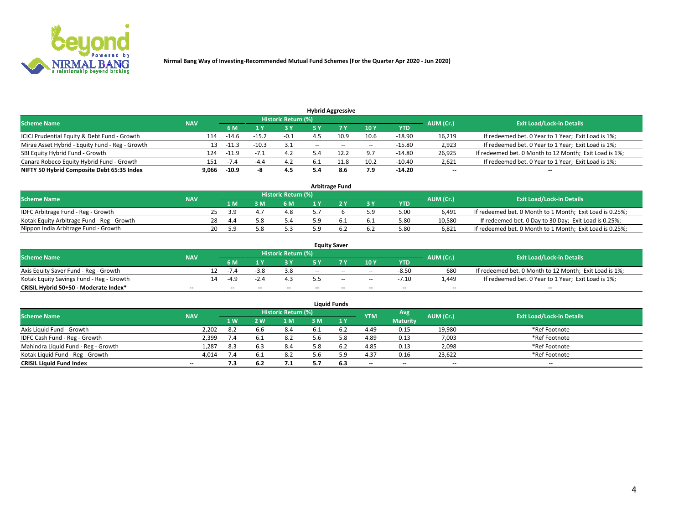

|                                                 |            |         |         |                            |       | <b>Hybrid Aggressive</b> |                          |          |                          |                                                        |
|-------------------------------------------------|------------|---------|---------|----------------------------|-------|--------------------------|--------------------------|----------|--------------------------|--------------------------------------------------------|
| <b>Scheme Name</b>                              | <b>NAV</b> |         |         | <b>Historic Return (%)</b> |       |                          |                          |          | AUM (Cr.)                | <b>Exit Load/Lock-in Details</b>                       |
|                                                 |            | 6 M     |         | 73 Y                       | 5 ۷   |                          | 10Y                      | YTD      |                          |                                                        |
| ICICI Prudential Equity & Debt Fund - Growth    | 114        | $-14.6$ | $-15.2$ | $-0.1$                     |       | 10.9                     | 10.6                     | $-18.90$ | 16,219                   | If redeemed bet. 0 Year to 1 Year; Exit Load is 1%;    |
| Mirae Asset Hybrid - Equity Fund - Reg - Growth | 13         | -11.    | $-10.3$ | 3.1                        | $- -$ | $- -$                    | $\overline{\phantom{a}}$ | $-15.80$ | 2,923                    | If redeemed bet. 0 Year to 1 Year; Exit Load is 1%;    |
| SBI Equity Hybrid Fund - Growth                 | 124        | $-11.9$ |         | 4.2                        |       |                          | 9.7                      | $-14.80$ | 26,925                   | If redeemed bet. 0 Month to 12 Month; Exit Load is 1%; |
| Canara Robeco Equity Hybrid Fund - Growth       | 151        | $-1.4$  | $-4.$   | 4.2                        |       | 11.8                     | 10.2                     | $-10.40$ | 2,621                    | If redeemed bet. 0 Year to 1 Year; Exit Load is 1%;    |
| NIFTY 50 Hybrid Composite Debt 65:35 Index      | 9,066      | $-10.9$ | -21     | 4.5                        | 5.4   | 8.6                      | 7.9                      | $-14.20$ | $\overline{\phantom{a}}$ | --                                                     |

| <b>Arbitrage Fund</b>                      |            |    |           |  |                     |  |  |     |            |           |                                                          |  |  |
|--------------------------------------------|------------|----|-----------|--|---------------------|--|--|-----|------------|-----------|----------------------------------------------------------|--|--|
| <b>Scheme Name</b>                         | <b>NAV</b> |    |           |  | Historic Return (%) |  |  |     |            | AUM (Cr.) | <b>Exit Load/Lock-in Details</b>                         |  |  |
|                                            |            |    | 1 M       |  | 6 M                 |  |  | 3 Y | <b>YTD</b> |           |                                                          |  |  |
| IDFC Arbitrage Fund - Reg - Growth         |            |    | <b>29</b> |  | 4.8                 |  |  |     | 5.00       | 6.491     | If redeemed bet. 0 Month to 1 Month; Exit Load is 0.25%; |  |  |
| Kotak Equity Arbitrage Fund - Reg - Growth |            | 28 | 4.4       |  | 5.4                 |  |  | 6.1 | 5.80       | 10.580    | If redeemed bet. 0 Day to 30 Day; Exit Load is 0.25%;    |  |  |
| Nippon India Arbitrage Fund - Growth       |            | 20 | 5. Ω      |  | 5.3                 |  |  | 6.2 | 5.80       | 6.821     | If redeemed bet. 0 Month to 1 Month; Exit Load is 0.25%; |  |  |

| <b>Equity Saver</b>                      |            |    |                          |                          |                     |        |       |                          |                          |           |                                                        |  |  |  |
|------------------------------------------|------------|----|--------------------------|--------------------------|---------------------|--------|-------|--------------------------|--------------------------|-----------|--------------------------------------------------------|--|--|--|
| <b>Scheme Name</b>                       | <b>NAV</b> |    |                          |                          | Historic Return (%) |        |       |                          |                          | AUM (Cr.) | <b>Exit Load/Lock-in Details</b>                       |  |  |  |
|                                          |            |    | 6 M                      |                          |                     | E V    |       | 10Y                      | <b>YTD</b>               |           |                                                        |  |  |  |
| Axis Equity Saver Fund - Reg - Growth    |            |    | $-1.4$                   | $-3.8$                   |                     | $-$    | $- -$ | $-$                      | $-8.50$                  | 680       | If redeemed bet. 0 Month to 12 Month; Exit Load is 1%; |  |  |  |
| Kotak Equity Savings Fund - Reg - Growth |            | 14 | -49                      |                          |                     |        | $-$   | $\sim$                   | $-7.10$                  | 1.449     | If redeemed bet. 0 Year to 1 Year; Exit Load is 1%;    |  |  |  |
| CRISIL Hybrid 50+50 - Moderate Index*    | $- -$      |    | $\overline{\phantom{a}}$ | $\overline{\phantom{a}}$ | $- -$               | $\sim$ | $- -$ | $\overline{\phantom{a}}$ | $\overline{\phantom{a}}$ | $- -$     | --                                                     |  |  |  |

| <b>Liquid Funds</b>                 |            |                |                |                            |     |     |            |                 |           |                                  |  |  |  |  |
|-------------------------------------|------------|----------------|----------------|----------------------------|-----|-----|------------|-----------------|-----------|----------------------------------|--|--|--|--|
| <b>Scheme Name</b>                  | <b>NAV</b> |                |                | <b>Historic Return (%)</b> |     |     | <b>YTM</b> | Avg             | AUM (Cr.) | <b>Exit Load/Lock-in Details</b> |  |  |  |  |
|                                     |            | 1 <sub>W</sub> | $\overline{M}$ | 1 M                        | ះ M | 1 Y |            | <b>Maturity</b> |           |                                  |  |  |  |  |
| Axis Liquid Fund - Growth           | 2.202      | -8.2           | 6.6            | 8.4                        | 6.1 |     | 4.49       | 0.15            | 19,980    | *Ref Footnote                    |  |  |  |  |
| IDFC Cash Fund - Reg - Growth       | 2,399      | 7.4            | 6.L            | 8.2                        | b.b | 5.8 | 4.89       | 0.13            | 7,003     | *Ref Footnote                    |  |  |  |  |
| Mahindra Liquid Fund - Reg - Growth | 1,287      | 8.3            | 6.3            | 8.4                        | 5.8 | 6.2 | 4.85       | 0.13            | 2,098     | *Ref Footnote                    |  |  |  |  |
| Kotak Liquid Fund - Reg - Growth    | 4.014      | 7.4            | 6.L            | 8.2                        | ь.6 |     | 4.37       | 0.16            | 23,622    | *Ref Footnote                    |  |  |  |  |
| <b>CRISIL Liquid Fund Index</b>     | $- -$      | 7.3            | 6.2            | 7.1                        |     | 6.3 | $-$        | $- -$           | $-$       | $-$                              |  |  |  |  |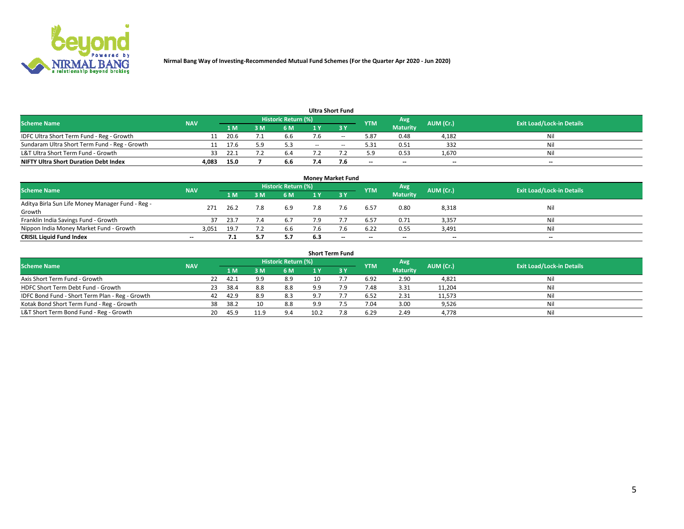

| <b>Ultra Short Fund</b>                       |            |       |     |                            |     |                          |                          |                          |                          |                                  |  |  |  |  |
|-----------------------------------------------|------------|-------|-----|----------------------------|-----|--------------------------|--------------------------|--------------------------|--------------------------|----------------------------------|--|--|--|--|
| <b>Scheme Name</b>                            | <b>NAV</b> |       |     | <b>Historic Return (%)</b> |     |                          | <b>YTM</b>               | Avg                      | AUM (Cr.)                | <b>Exit Load/Lock-in Details</b> |  |  |  |  |
|                                               |            | '1 M. | : M | 6 M                        |     |                          |                          | <b>Maturity</b>          |                          |                                  |  |  |  |  |
| IDFC Ultra Short Term Fund - Reg - Growth     |            | 20.6  |     | 6.6                        |     | $\overline{\phantom{a}}$ | 5.87                     | 0.48                     | 4,182                    | Nil                              |  |  |  |  |
| Sundaram Ultra Short Term Fund - Reg - Growth |            | 17.6  |     | 5.3                        | $-$ | $- -$                    | 5.31                     | 0.51                     | 332                      | Nil                              |  |  |  |  |
| L&T Ultra Short Term Fund - Growth            | 33         | -22.1 |     | 6.4                        |     |                          | 5.9                      | 0.53                     | 1,670                    | Nil                              |  |  |  |  |
| <b>NIFTY Ultra Short Duration Debt Index</b>  | 4,083      | 15.0  |     | 6.6                        |     |                          | $\overline{\phantom{a}}$ | $\overline{\phantom{a}}$ | $\overline{\phantom{a}}$ | $-$                              |  |  |  |  |

| Money Market Fund                                |                          |      |    |                     |     |             |            |                 |           |                                  |  |  |  |  |
|--------------------------------------------------|--------------------------|------|----|---------------------|-----|-------------|------------|-----------------|-----------|----------------------------------|--|--|--|--|
| <b>Scheme Name</b>                               | <b>NAV</b>               |      |    | Historic Return (%) |     |             | <b>YTM</b> | Avg             | AUM (Cr.) | <b>Exit Load/Lock-in Details</b> |  |  |  |  |
|                                                  |                          | 1 M  | ١M | 6 M                 |     | <b>23 V</b> |            | <b>Maturity</b> |           |                                  |  |  |  |  |
| Aditya Birla Sun Life Money Manager Fund - Reg - | 271                      | 26.2 |    | 6.9                 | 7.8 |             | 6.57       | 0.80            | 8,318     | Nil                              |  |  |  |  |
| Growth                                           |                          |      |    |                     |     |             |            |                 |           |                                  |  |  |  |  |
| Franklin India Savings Fund - Growth             |                          | 23.7 |    | 6.7                 |     |             | 6.57       | 0.71            | 3,357     | Nil                              |  |  |  |  |
| Nippon India Money Market Fund - Growth          | 3,051                    | 19.7 |    | 6.6                 |     |             | 6.22       | 0.55            | 3,491     | Nil                              |  |  |  |  |
| <b>CRISIL Liquid Fund Index</b>                  | $\overline{\phantom{a}}$ | 7.1  |    | 5.7                 | 6.3 | $-$         | $- -$      | $- -$           | $- -$     | $\overline{\phantom{a}}$         |  |  |  |  |

| <b>Short Term Fund</b>                          |            |    |      |      |                            |      |            |            |                 |           |                                  |  |  |
|-------------------------------------------------|------------|----|------|------|----------------------------|------|------------|------------|-----------------|-----------|----------------------------------|--|--|
| <b>Scheme Name</b>                              | <b>NAV</b> |    |      |      | <b>Historic Return (%)</b> |      |            | <b>YTM</b> | Avg             | AUM (Cr.) | <b>Exit Load/Lock-in Details</b> |  |  |
|                                                 |            |    | 4 M  | 3 M  | 6 M                        | 1 Y  | <b>ZBY</b> |            | <b>Maturity</b> |           |                                  |  |  |
| Axis Short Term Fund - Growth                   |            | 22 | 42.1 | 9.9  | 8.9                        | 10   |            | 6.92       | 2.90            | 4,821     | Nil                              |  |  |
| HDFC Short Term Debt Fund - Growth              |            | 23 | 38.4 | 8.8  | 8.8                        | 9.9  | 7.9        | 7.48       | 3.31            | 11,204    | Nil                              |  |  |
| IDFC Bond Fund - Short Term Plan - Reg - Growth |            | 42 | 42.9 | 8.9  | 8.3                        |      |            | 6.52       | 2.31            | 11,573    | Nil                              |  |  |
| Kotak Bond Short Term Fund - Reg - Growth       |            | 38 | 38.2 |      | 8.8                        | a a  |            | 7.04       | 3.00            | 9,526     | Nil                              |  |  |
| L&T Short Term Bond Fund - Reg - Growth         |            | 20 | 45.9 | 11.9 | 9.4                        | 10.2 | 7.8        | 6.29       | 2.49            | 4,778     | Nil                              |  |  |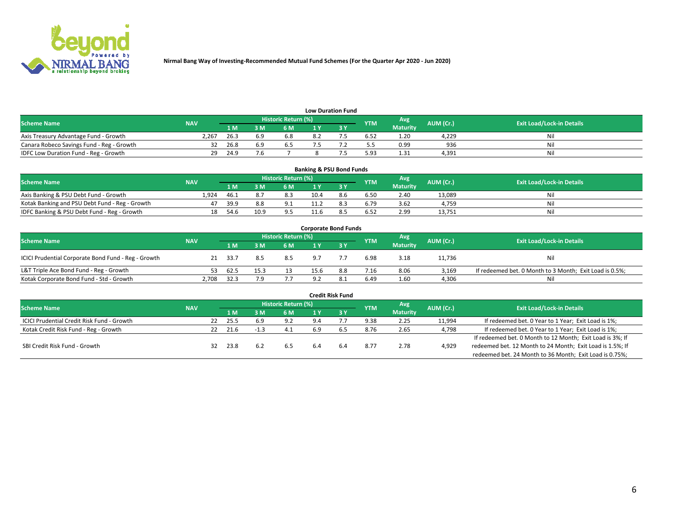

| <b>Low Duration Fund</b>                  |            |      |     |                     |  |  |            |                 |           |                                  |  |  |  |  |
|-------------------------------------------|------------|------|-----|---------------------|--|--|------------|-----------------|-----------|----------------------------------|--|--|--|--|
| <b>Scheme Name</b>                        | <b>NAV</b> |      |     | Historic Return (%) |  |  | <b>YTM</b> | Avg             | AUM (Cr.) | <b>Exit Load/Lock-in Details</b> |  |  |  |  |
|                                           |            | 1 M  | ៵៳  | 6 M                 |  |  |            | <b>Maturity</b> |           |                                  |  |  |  |  |
| Axis Treasury Advantage Fund - Growth     | 2.267      | 26.3 | 6.9 | 6.8                 |  |  | 6.52       | 1.20            | 4.229     | Nil                              |  |  |  |  |
| Canara Robeco Savings Fund - Reg - Growth | 32         | 26.8 | 6.9 | b.5                 |  |  | 5.5        | 0.99            | 936       | Nil                              |  |  |  |  |
| IDFC Low Duration Fund - Reg - Growth     | 29         | 24.9 |     |                     |  |  | 5.93       | 1.31            | 4,391     | Nil                              |  |  |  |  |

| <b>Banking &amp; PSU Bond Funds</b>            |            |      |      |                            |      |     |            |                 |           |                                  |  |  |  |  |
|------------------------------------------------|------------|------|------|----------------------------|------|-----|------------|-----------------|-----------|----------------------------------|--|--|--|--|
| <b>Scheme Name</b>                             | <b>NAV</b> |      |      | <b>Historic Return (%)</b> |      |     | <b>YTM</b> | Avg             | AUM (Cr.) | <b>Exit Load/Lock-in Details</b> |  |  |  |  |
|                                                |            | 1 M  | 3 M  | 6 M                        |      |     |            | <b>Maturity</b> |           |                                  |  |  |  |  |
| Axis Banking & PSU Debt Fund - Growth          | 1.924      | 46.1 | 8.7  | 8.3                        | 10.4 | 8.6 | 6.50       | 2.40            | 13.089    | Nil                              |  |  |  |  |
| Kotak Banking and PSU Debt Fund - Reg - Growth | 47         | 39.9 | 8.8  | ン・エ                        |      |     | 6.79       | 3.62            | 4.759     | Nil                              |  |  |  |  |
| IDFC Banking & PSU Debt Fund - Reg - Growth    | 18         | 54.6 | 10.9 | 9.5                        |      |     | 6.52       | 2.99            | 13,751    | Nil                              |  |  |  |  |

| <b>Corporate Bond Funds</b>                         |            |      |      |                     |      |     |            |                 |           |                                                         |  |  |  |  |
|-----------------------------------------------------|------------|------|------|---------------------|------|-----|------------|-----------------|-----------|---------------------------------------------------------|--|--|--|--|
| <b>Scheme Name</b>                                  | <b>NAV</b> |      |      | Historic Return (%) |      |     | <b>YTM</b> | Avg             | AUM (Cr.) | <b>Exit Load/Lock-in Details</b>                        |  |  |  |  |
|                                                     |            | 1 M  | 3 M  | 6 M                 |      |     |            | <b>Maturity</b> |           |                                                         |  |  |  |  |
| ICICI Prudential Corporate Bond Fund - Reg - Growth | 21         | 33.7 | 8.5  | 8.5                 | 9.7  |     | 6.98       | 3.18            | 11.736    | Nil                                                     |  |  |  |  |
| L&T Triple Ace Bond Fund - Reg - Growth             | 53.        | 62.5 | 15.3 | 13                  | 15.6 | 8.8 | 7.16       | 8.06            | 3,169     | If redeemed bet. 0 Month to 3 Month; Exit Load is 0.5%; |  |  |  |  |
| Kotak Corporate Bond Fund - Std - Growth            | 2,708      | 32.3 | 7.9  | 7.7                 | 9.2  | 8.1 | 6.49       | 1.60            | 4,306     | Nil                                                     |  |  |  |  |

| <b>Credit Risk Fund</b>                           |            |    |      |     |                     |     |      |            |                 |           |                                                           |  |  |
|---------------------------------------------------|------------|----|------|-----|---------------------|-----|------|------------|-----------------|-----------|-----------------------------------------------------------|--|--|
| <b>Scheme Name</b>                                | <b>NAV</b> |    |      |     | Historic Return (%) |     |      | <b>YTM</b> | Avg             | AUM (Cr.) | <b>Exit Load/Lock-in Details</b>                          |  |  |
|                                                   |            |    | '1 M | l M | 6 M                 |     | 73 Y |            | <b>Maturity</b> |           |                                                           |  |  |
| <b>ICICI Prudential Credit Risk Fund - Growth</b> |            | 22 | 25.5 | 6.9 | 9.2                 | 9.4 |      | 9.38       | 2.25            | 11,994    | If redeemed bet. 0 Year to 1 Year; Exit Load is 1%;       |  |  |
| Kotak Credit Risk Fund - Reg - Growth             |            | 22 | 21.6 |     | 4.1                 |     |      | 8.76       | 2.65            | 4,798     | If redeemed bet. 0 Year to 1 Year; Exit Load is 1%;       |  |  |
|                                                   |            |    |      |     |                     |     |      |            |                 |           | If redeemed bet. 0 Month to 12 Month; Exit Load is 3%; If |  |  |
| SBI Credit Risk Fund - Growth                     |            | 32 | 23.8 | 6.2 | 6.5                 | 6.4 | 6.4  | 8.77       | 2.78            | 4,929     | redeemed bet. 12 Month to 24 Month; Exit Load is 1.5%; If |  |  |
|                                                   |            |    |      |     |                     |     |      |            |                 |           | redeemed bet. 24 Month to 36 Month; Exit Load is 0.75%;   |  |  |